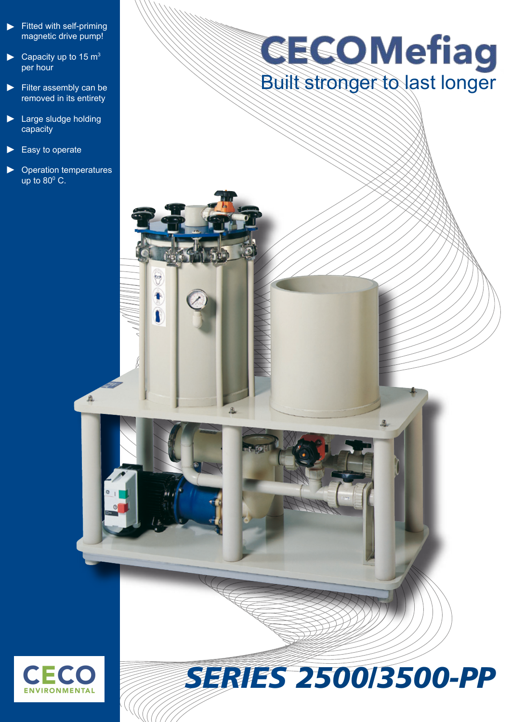- Fitted with self-priming magnetic drive pump! ►
- Capacity up to 15  $m<sup>3</sup>$ per hour ►
- ► Filter assembly can be removed in its entirety
- ► Large sludge holding capacity
- Easy to operate ►
- Operation temperatures up to  $80^{\circ}$  C. ►

画

9

# **GECOMefiag**<br>Built stronger to last longer



# *SERIES 2500/3500-PP*